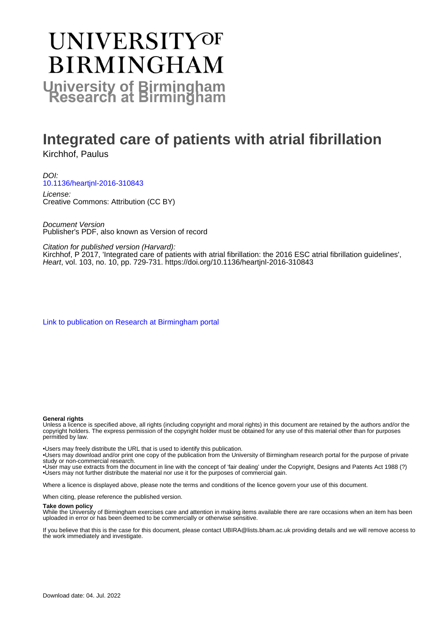# **UNIVERSITYOF BIRMINGHAM University of Birmingham**

# **Integrated care of patients with atrial fibrillation**

Kirchhof, Paulus

DOI: [10.1136/heartjnl-2016-310843](https://doi.org/10.1136/heartjnl-2016-310843)

License: Creative Commons: Attribution (CC BY)

Document Version Publisher's PDF, also known as Version of record

Citation for published version (Harvard):

Kirchhof, P 2017, 'Integrated care of patients with atrial fibrillation: the 2016 ESC atrial fibrillation guidelines', Heart, vol. 103, no. 10, pp. 729-731. <https://doi.org/10.1136/heartjnl-2016-310843>

[Link to publication on Research at Birmingham portal](https://birmingham.elsevierpure.com/en/publications/2f01b8c1-1e93-4fc3-8e7a-a9a67ed39a63)

#### **General rights**

Unless a licence is specified above, all rights (including copyright and moral rights) in this document are retained by the authors and/or the copyright holders. The express permission of the copyright holder must be obtained for any use of this material other than for purposes permitted by law.

• Users may freely distribute the URL that is used to identify this publication.

• Users may download and/or print one copy of the publication from the University of Birmingham research portal for the purpose of private study or non-commercial research.

• User may use extracts from the document in line with the concept of 'fair dealing' under the Copyright, Designs and Patents Act 1988 (?) • Users may not further distribute the material nor use it for the purposes of commercial gain.

Where a licence is displayed above, please note the terms and conditions of the licence govern your use of this document.

When citing, please reference the published version.

#### **Take down policy**

While the University of Birmingham exercises care and attention in making items available there are rare occasions when an item has been uploaded in error or has been deemed to be commercially or otherwise sensitive.

If you believe that this is the case for this document, please contact UBIRA@lists.bham.ac.uk providing details and we will remove access to the work immediately and investigate.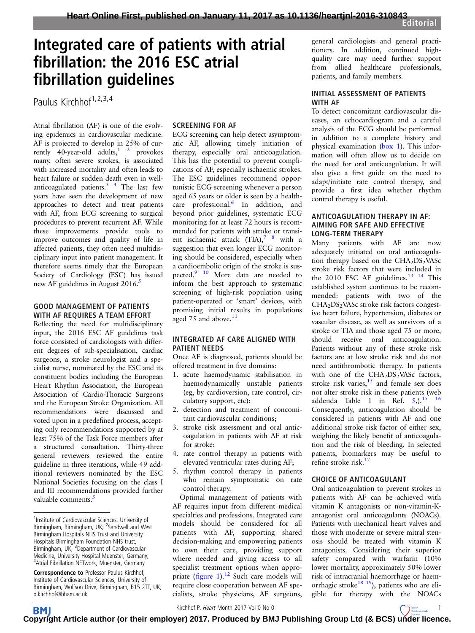# Integrated care of patients with atrial fibrillation: the 2016 ESC atrial fibrillation guidelines

Paulus Kirchhof<sup>1, 2, 3, 4</sup>

Atrial fibrillation (AF) is one of the evolving epidemics in cardiovascular medicine. AF is projected to develop in 25% of currently 40-year-old adults, $1^2$  provokes many, often severe strokes, is associated with increased mortality and often leads to heart failure or sudden death even in wellanticoagulated patients. $3 \times 4$  The last few years have seen the development of new approaches to detect and treat patients with AF, from ECG screening to surgical procedures to prevent recurrent AF. While these improvements provide tools to improve outcomes and quality of life in affected patients, they often need multidisciplinary input into patient management. It therefore seems timely that the European Society of Cardiology (ESC) has issued new AF guidelines in August 2016.<sup>[5](#page-3-0)</sup>

#### GOOD MANAGEMENT OF PATIENTS WITH AF REQUIRES A TEAM EFFORT

Reflecting the need for multidisciplinary input, the 2016 ESC AF guidelines task force consisted of cardiologists with different degrees of sub-specialisation, cardiac surgeons, a stroke neurologist and a specialist nurse, nominated by the ESC and its constituent bodies including the European Heart Rhythm Association, the European Association of Cardio-Thoracic Surgeons and the European Stroke Organization. All recommendations were discussed and voted upon in a predefined process, accepting only recommendations supported by at least 75% of the Task Force members after a structured consultation. Thirty-three general reviewers reviewed the entire guideline in three iterations, while 49 additional reviewers nominated by the ESC National Societies focusing on the class I and III recommendations provided further valuable comments.<sup>[5](#page-3-0)</sup>

# SCREENING FOR AF

ECG screening can help detect asymptomatic AF, allowing timely initiation of therapy, especially oral anticoagulation. This has the potential to prevent complications of AF, especially ischaemic strokes. The ESC guidelines recommend opportunistic ECG screening whenever a person aged 65 years or older is seen by a health-care professional.<sup>[6](#page-3-0)</sup> In addition, and beyond prior guidelines, systematic ECG monitoring for at least 72 hours is recommended for patients with stroke or transient ischaemic attack  $(TIA)^{7}$  <sup>8</sup> with a suggestion that even longer ECG monitoring should be considered, especially when a cardioembolic origin of the stroke is suspected.<sup>9</sup> <sup>10</sup> More data are needed to inform the best approach to systematic screening of high-risk population using patient-operated or 'smart' devices, with promising initial results in populations aged 75 and above. $11$ 

### INTEGRATED AF CARE ALIGNED WITH PATIENT NEEDS

Once AF is diagnosed, patients should be offered treatment in five domains:

- 1. acute haemodynamic stabilisation in haemodynamically unstable patients (eg, by cardioversion, rate control, circulatory support, etc);
- 2. detection and treatment of concomitant cardiovascular conditions;
- 3. stroke risk assessment and oral anticoagulation in patients with AF at risk for stroke;
- 4. rate control therapy in patients with elevated ventricular rates during AF;
- 5. rhythm control therapy in patients who remain symptomatic on rate control therapy.

Optimal management of patients with AF requires input from different medical specialties and professions. Integrated care models should be considered for all patients with AF, supporting shared decision-making and empowering patients to own their care, providing support where needed and giving access to all specialist treatment options when appropriate (fi[gure 1\)](#page-2-0).<sup>[12](#page-3-0)</sup> Such care models will require close cooperation between AF specialists, stroke physicians, AF surgeons,

general cardiologists and general practitioners. In addition, continued highquality care may need further support from allied healthcare professionals, patients, and family members.

## INITIAL ASSESSMENT OF PATIENTS WITH AF

To detect concomitant cardiovascular diseases, an echocardiogram and a careful analysis of the ECG should be performed in addition to a complete history and physical examination ([box 1](#page-2-0)). This information will often allow us to decide on the need for oral anticoagulation. It will also give a first guide on the need to adapt/initiate rate control therapy, and provide a first idea whether rhythm control therapy is useful.

### ANTICOAGULATION THERAPY IN AF: AIMING FOR SAFE AND EFFECTIVE LONG-TERM THERAPY

Many patients with AF are now adequately initiated on oral anticoagulation therapy based on the  $CHA<sub>2</sub>DS<sub>2</sub> VASC$ stroke risk factors that were included in the 2010 ESC AF guidelines. $13 \frac{14}{14}$  This established system continues to be recommended: patients with two of the CHA<sub>2</sub>DS<sub>2</sub>VASc stroke risk factors congestive heart failure, hypertension, diabetes or vascular disease, as well as survivors of a stroke or TIA and those aged 75 or more, should receive oral anticoagulation. Patients without any of these stroke risk factors are at low stroke risk and do not need antithrombotic therapy. In patients with one of the  $CHA<sub>2</sub>DS<sub>2</sub> VASc$  factors, stroke risk varies, $15$  and female sex does not alter stroke risk in these patients (web addenda Table 1 in Ref.  $5$ .).<sup>15</sup> <sup>16</sup> Consequently, anticoagulation should be considered in patients with AF and one additional stroke risk factor of either sex, weighing the likely benefit of anticoagulation and the risk of bleeding. In selected patients, biomarkers may be useful to refine stroke risk.<sup>[17](#page-3-0)</sup>

## CHOICE OF ANTICOAGULANT

Oral anticoagulation to prevent strokes in patients with AF can be achieved with vitamin K antagonists or non-vitamin-Kantagonist oral anticoagulants (NOACs). Patients with mechanical heart valves and those with moderate or severe mitral stenosis should be treated with vitamin K antagonists. Considering their superior safety compared with warfarin (10% lower mortality, approximately 50% lower risk of intracranial haemorrhage or haemorrhagic stroke<sup>18</sup> <sup>19</sup>), patients who are eligible for therapy with the NOACs

Kirchhof P. Heart Month 2017 Vol 0 No 0 1 1 1 200  $\bigcap_{\text{Cardosicals}}$  1

**BM C[opyrig](http://heart.bmj.com)ht Article author (or their employer) 2017. Produced by BMJ Publishing Group Ltd (& BCS) [under lic](http://www.bcs.com)ence.** 

<sup>&</sup>lt;sup>1</sup>Institute of Cardiovascular Sciences, University of Birmingham, Birmingham, UK; <sup>2</sup>Sandwell and West Birmingham Hospitals NHS Trust and University Hospitals Birmingham Foundation NHS trust, Birmingham, UK; <sup>3</sup> Department of Cardiovascular Medicine, University Hospital Muenster, Germany; 4 Atrial Fibrillation NETwork, Muenster, Germany

Correspondence to Professor Paulus Kirchhof, Institute of Cardiovascular Sciences, University of Birmingham, Wolfson Drive, Birmingham, B15 2TT, UK; p.kirchhof@bham.ac.uk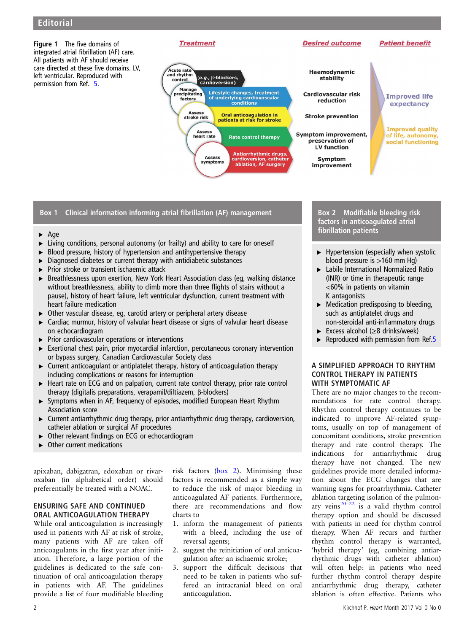<span id="page-2-0"></span>Figure 1 The five domains of integrated atrial fibrillation (AF) care. All patients with AF should receive care directed at these five domains. LV, left ventricular. Reproduced with permission from Ref. [5](#page-3-0).





**Improved life** expectancy

**Patient benefit** 

**Improved quality** of life, autonomy, social functioning

# Box 1 Clinical information informing atrial fibrillation (AF) management

- ▸ Age
- ▸ Living conditions, personal autonomy (or frailty) and ability to care for oneself
- ▶ Blood pressure, history of hypertension and antihypertensive therapy
- $\triangleright$  Diagnosed diabetes or current therapy with antidiabetic substances
- ▶ Prior stroke or transient ischaemic attack
- Breathlessness upon exertion, New York Heart Association class (eg, walking distance without breathlessness, ability to climb more than three flights of stairs without a pause), history of heart failure, left ventricular dysfunction, current treatment with heart failure medication
- ▸ Other vascular disease, eg, carotid artery or peripheral artery disease
- ▸ Cardiac murmur, history of valvular heart disease or signs of valvular heart disease on echocardiogram
- ▸ Prior cardiovascular operations or interventions
- ▸ Exertional chest pain, prior myocardial infarction, percutaneous coronary intervention or bypass surgery, Canadian Cardiovascular Society class
- ▸ Current anticoagulant or antiplatelet therapy, history of anticoagulation therapy including complications or reasons for interruption
- ▸ Heart rate on ECG and on palpation, current rate control therapy, prior rate control therapy (digitalis preparations, verapamil/diltiazem, β-blockers)
- ▸ Symptoms when in AF, frequency of episodes, modified European Heart Rhythm Association score
- ▸ Current antiarrhythmic drug therapy, prior antiarrhythmic drug therapy, cardioversion, catheter ablation or surgical AF procedures
- ▶ Other relevant findings on ECG or echocardiogram
- Other current medications

apixaban, dabigatran, edoxaban or rivaroxaban (in alphabetical order) should preferentially be treated with a NOAC.

# ENSURING SAFE AND CONTINUED ORAL ANTICOAGULATION THERAPY

While oral anticoagulation is increasingly used in patients with AF at risk of stroke, many patients with AF are taken off anticoagulants in the first year after initiation. Therefore, a large portion of the guidelines is dedicated to the safe continuation of oral anticoagulation therapy in patients with AF. The guidelines provide a list of four modifiable bleeding risk factors (box 2). Minimising these factors is recommended as a simple way to reduce the risk of major bleeding in anticoagulated AF patients. Furthermore, there are recommendations and flow charts to

- 1. inform the management of patients with a bleed, including the use of reversal agents;
- 2. suggest the reinitiation of oral anticoagulation after an ischaemic stroke;
- 3. support the difficult decisions that need to be taken in patients who suffered an intracranial bleed on oral anticoagulation.

Box 2 Modifiable bleeding risk factors in anticoagulated atrial fibrillation patients

**Desired outcome** 

- $\blacktriangleright$  Hypertension (especially when systolic blood pressure is >160 mm Hg)
- ▸ Labile International Normalized Ratio (INR) or time in therapeutic range <60% in patients on vitamin K antagonists
- ▸ Medication predisposing to bleeding, such as antiplatelet drugs and non-steroidal anti-inflammatory drugs
- Excess alcohol ( $\geq$ 8 drinks/week)
- Reproduced with permission from Ref.[5](#page-3-0)

#### A SIMPLIFIED APPROACH TO RHYTHM CONTROL THERAPY IN PATIENTS WITH SYMPTOMATIC AF

There are no major changes to the recommendations for rate control therapy. Rhythm control therapy continues to be indicated to improve AF-related symptoms, usually on top of management of concomitant conditions, stroke prevention therapy and rate control therapy. The indications for antiarrhythmic drug therapy have not changed. The new guidelines provide more detailed information about the ECG changes that are warning signs for proarrhythmia. Catheter ablation targeting isolation of the pulmonary veins $20-22$  $20-22$  is a valid rhythm control therapy option and should be discussed with patients in need for rhythm control therapy. When AF recurs and further rhythm control therapy is warranted, 'hybrid therapy' (eg, combining antiarrhythmic drugs with catheter ablation) will often help: in patients who need further rhythm control therapy despite antiarrhythmic drug therapy, catheter ablation is often effective. Patients who